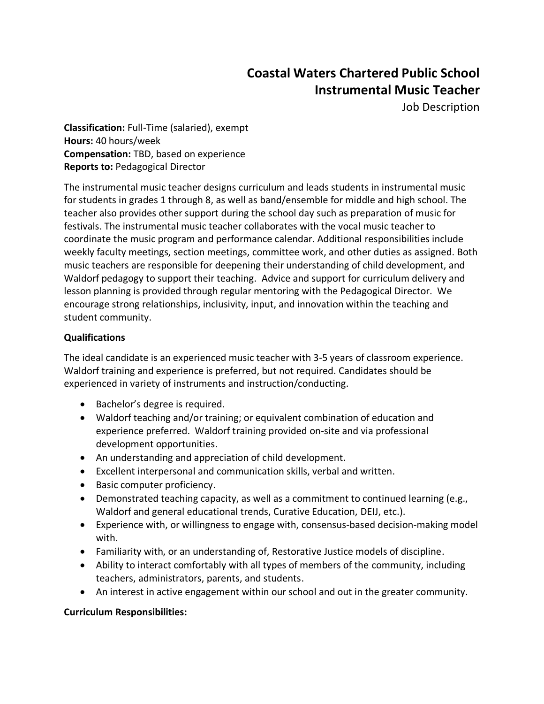# **Coastal Waters Chartered Public School Instrumental Music Teacher**

Job Description

**Classification:** Full-Time (salaried), exempt **Hours:** 40 hours/week **Compensation:** TBD, based on experience **Reports to:** Pedagogical Director

The instrumental music teacher designs curriculum and leads students in instrumental music for students in grades 1 through 8, as well as band/ensemble for middle and high school. The teacher also provides other support during the school day such as preparation of music for festivals. The instrumental music teacher collaborates with the vocal music teacher to coordinate the music program and performance calendar. Additional responsibilities include weekly faculty meetings, section meetings, committee work, and other duties as assigned. Both music teachers are responsible for deepening their understanding of child development, and Waldorf pedagogy to support their teaching. Advice and support for curriculum delivery and lesson planning is provided through regular mentoring with the Pedagogical Director. We encourage strong relationships, inclusivity, input, and innovation within the teaching and student community.

# **Qualifications**

The ideal candidate is an experienced music teacher with 3-5 years of classroom experience. Waldorf training and experience is preferred, but not required. Candidates should be experienced in variety of instruments and instruction/conducting.

- Bachelor's degree is required.
- Waldorf teaching and/or training; or equivalent combination of education and experience preferred. Waldorf training provided on-site and via professional development opportunities.
- An understanding and appreciation of child development.
- Excellent interpersonal and communication skills, verbal and written.
- Basic computer proficiency.
- Demonstrated teaching capacity, as well as a commitment to continued learning (e.g., Waldorf and general educational trends, Curative Education, DEIJ, etc.).
- Experience with, or willingness to engage with, consensus-based decision-making model with.
- Familiarity with, or an understanding of, Restorative Justice models of discipline.
- Ability to interact comfortably with all types of members of the community, including teachers, administrators, parents, and students.
- An interest in active engagement within our school and out in the greater community.

### **Curriculum Responsibilities:**